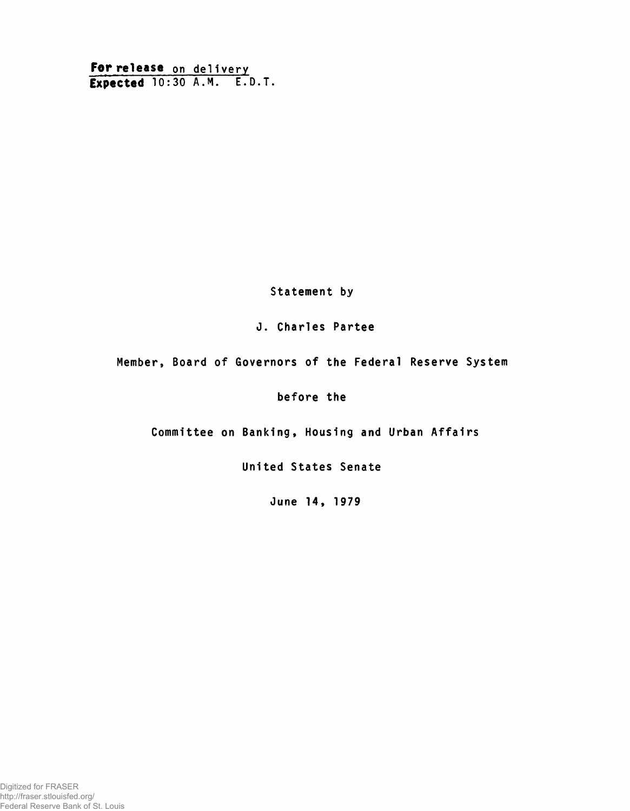For release on delivery Expected 10:30 A.M. E.D.T.

Statement by

# J. Charles Partee

Member, Board of Governors of the Federal Reserve System

before the

Committee on Banking, Housing and Urban Affairs

United States Senate

June 14, 1979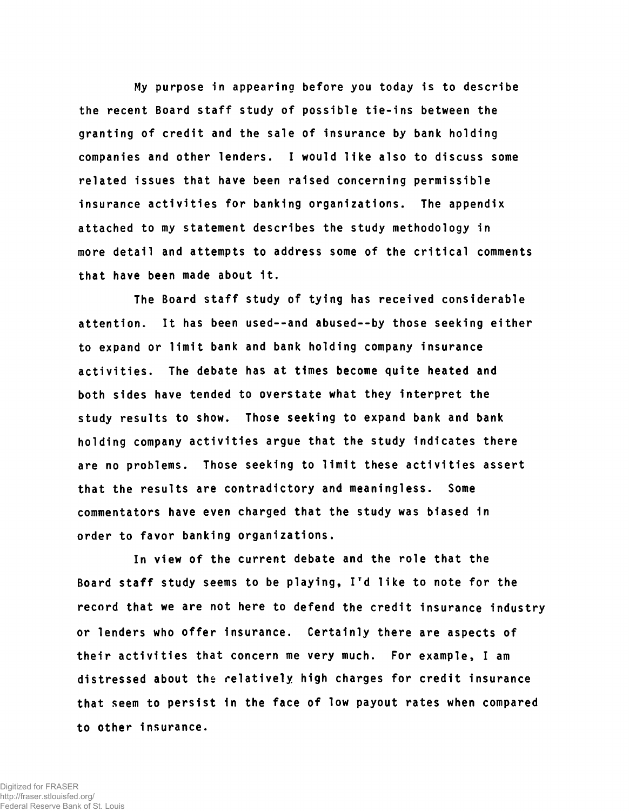My purpose in appearing before you today is to describe the recent Board staff study of possible tie-ins between the granting of credit and the sale of insurance by bank holding companies and other lenders. I would like also to discuss some related issues that have been raised concerning permissible insurance activities for banking organizations. The appendix attached to my statement describes the study methodology in more detail and attempts to address some of the critical comments that have been made about 1t.

The Board staff study of tying has received considerable attention. It has been used--and abused--by those seeking either to expand or limit bank and bank holding company insurance activities. The debate has at times become quite heated and both sides have tended to overstate what they interpret the study results to show. Those seeking to expand bank and bank holding company activities argue that the study indicates there are no problems. Those seeking to limit these activities assert that the results are contradictory and meaningless. Some commentators have even charged that the study was biased in order to favor banking organizations.

In view of the current debate and the role that the Board staff study seems to be playing, Ird like to note for the record that we are not here to defend the credit insurance industry or lenders who offer Insurance. Certainly there are aspects of their activities that concern me very much. For example, I am distressed about the relatively high charges for credit insurance that seem to persist 1n the face of low payout rates when compared to other insurance.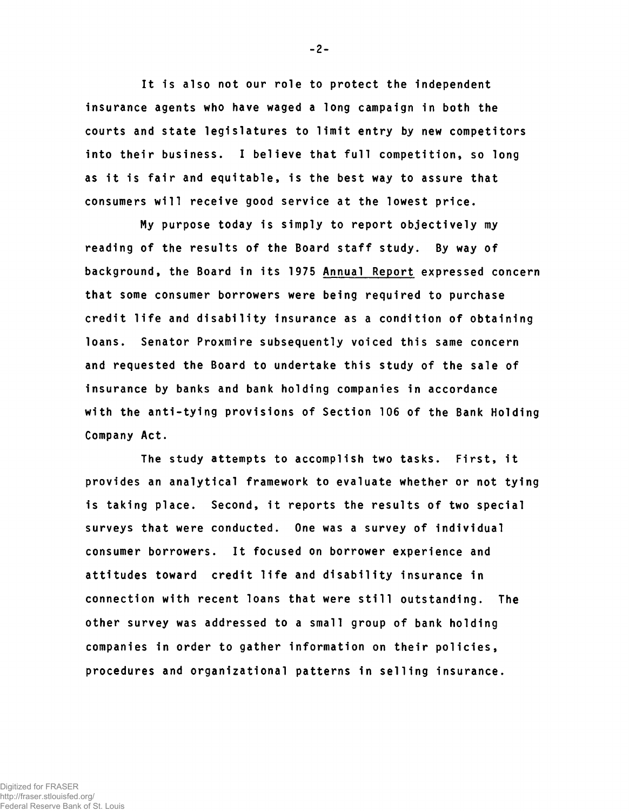It is also not our role to protect the independent insurance agents who have waged a long campaign in both the courts and state legislatures to limit entry by new competitors into their business. I believe that full competition, so long as it is fair and equitable, is the best way to assure that consumers will receive good service at the lowest price.

My purpose today is simply to report objectively my reading of the results of the Board staff study. By way of background, the Board in its 1975 Annual Report expressed concern that some consumer borrowers were being required to purchase credit life and disability insurance as a condition of obtaining loans. Senator Proxmire subsequently voiced this same concern and requested the Board to undertake this study of the sale of insurance by banks and bank holding companies in accordance with the anti-tying provisions of Section 106 of the Bank Holding Company Act.

The study attempts to accomplish two tasks. First, it provides an analytical framework to evaluate whether or not tying is taking place. Second, it reports the results of two special surveys that were conducted. One was a survey of individual consumer borrowers. It focused on borrower experience and attitudes toward credit life and disability insurance in connection with recent loans that were still outstanding. The other survey was addressed to a small group of bank holding companies in order to gather information on their policies, procedures and organizational patterns in selling insurance.

-2-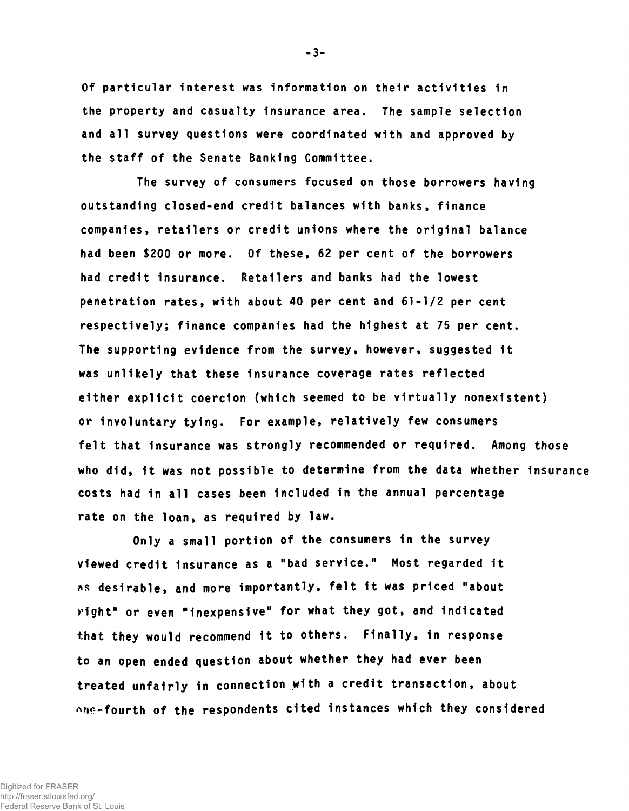Of particular interest was information on their activities in the property and casualty insurance area. The sample selection and all survey questions were coordinated with and approved by the staff of the Senate Banking Committee.

The survey of consumers focused on those borrowers having outstanding closed-end credit balances with banks, finance companies, retailers or credit unions where the original balance had been \$200 or more. Of these, 62 per cent of the borrowers had credit insurance. Retailers and banks had the lowest penetration rates, with about 40 per cent and 61-1/2 per cent respectively; finance companies had the highest at 75 per cent. The supporting evidence from the survey, however, suggested it was unlikely that these insurance coverage rates reflected either explicit coercion (which seemed to be virtually nonexistent) or involuntary tying. For example, relatively few consumers felt that insurance was strongly recommended or required. Among those who did, 1t was not possible to determine from the data whether insurance costs had in all cases been Included in the annual percentage rate on the loan, as required by law.

Only a small portion of the consumers in the survey viewed credit Insurance as a "bad service." Most regarded It as desirable, and more importantly, felt it was priced "about right" or even "Inexpensive" for what they got, and Indicated that they would recommend it to others. Finally, in response to an open ended question about whether they had ever been treated unfairly in connection with a credit transaction, about one-fourth of the respondents cited instances which they considered

-3-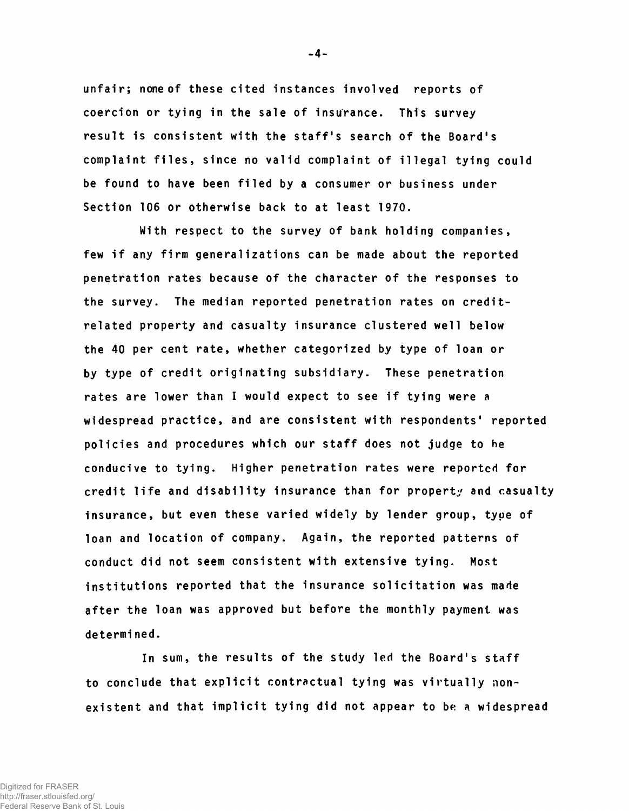unfair; none of these cited instances involved reports of coercion or tying in the sale of insurance. This survey result is consistent with the staff's search of the Board's complaint files, since no valid complaint of illegal tying could be found to have been filed by a consumer or business under Section 106 or otherwise back to at least 1970.

With respect to the survey of bank holding companies, few if any firm generalizations can be made about the reported penetration rates because of the character of the responses to the survey. The median reported penetration rates on creditrelated property and casualty insurance clustered well below the 40 per cent rate, whether categorized by type of loan or by type of credit originating subsidiary. These penetration rates are lower than I would expect to see if tying were a widespread practice, and are consistent with respondents' reported policies and procedures which our staff does not judge to he conducive to tying. Higher penetration rates were reported for credit life and disability insurance than for property and casualty insurance, but even these varied widely by lender group, type of loan and location of company. Again, the reported patterns of conduct did not seem consistent with extensive tying. Most institutions reported that the insurance solicitation was made after the loan was approved but before the monthly payment was determined.

In sum, the results of the study led the Board's staff to conclude that explicit contractual tying was virtually nonexistent and that implicit tying did not appear to be a widespread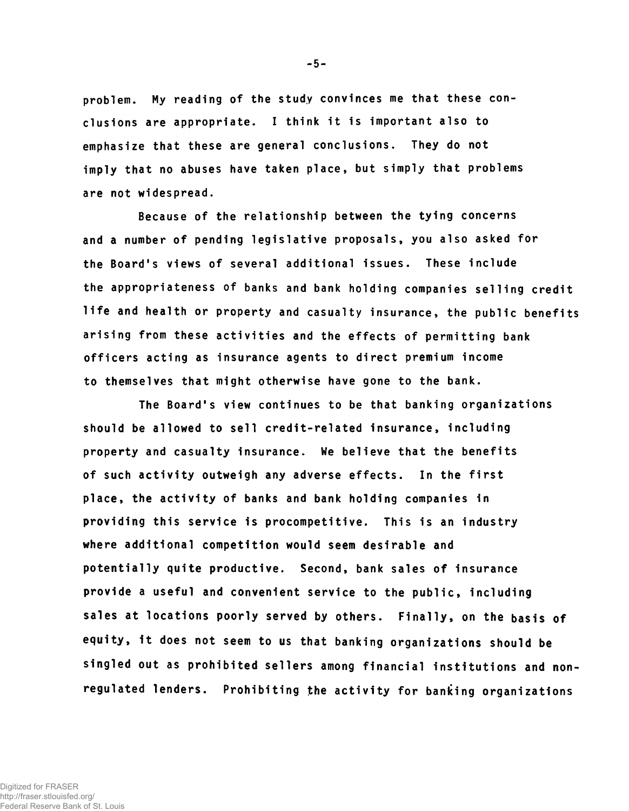problem. My reading of the study convinces me that these conclusions are appropriate. I think it is important also to emphasize that these are general conclusions. They do not imply that no abuses have taken place, but simply that problems are not widespread.

Because of the relationship between the tying concerns and a number of pending legislative proposals, you also asked for the Board's views of several additional issues. These include the appropriateness of banks and bank holding companies selling credit life and health or property and casualty insurance, the public benefits arising from these activities and the effects of permitting bank officers acting as insurance agents to direct premium income to themselves that might otherwise have gone to the bank.

The Board's view continues to be that banking organizations should be allowed to sell credit-related insurance, including property and casualty insurance. We believe that the benefits of such activity outweigh any adverse effects. In the first place, the activity of banks and bank holding companies in providing this service 1s procompetitive. This is an industry where additional competition would seem desirable and potentially quite productive. Second, bank sales of insurance provide a useful and convenient service to the public, Including sales at locations poorly served by others. Finally, on the basis of equity, it does not seem to us that banking organizations should be singled out as prohibited sellers among financial institutions and nonregulated lenders. Prohibiting the activity for banking organizations

-5-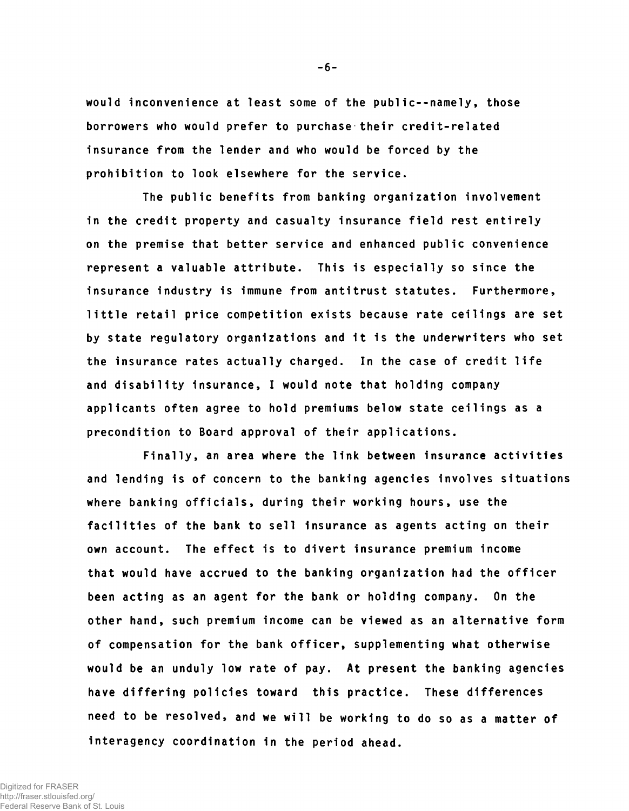would inconvenience at least some of the public--namely, those borrowers who would prefer to purchase their credit-related insurance from the lender and who would be forced by the prohibition to look elsewhere for the service.

The public benefits from banking organization involvement in the credit property and casualty insurance field rest entirely on the premise that better service and enhanced public convenience represent a valuable attribute. This is especially so since the insurance industry is immune from antitrust statutes. Furthermore, little retail price competition exists because rate ceilings are set by state regulatory organizations and it is the underwriters who set the insurance rates actually charged. In the case of credit life and disability insurance, I would note that holding company applicants often agree to hold premiums below state ceilings as a precondition to Board approval of their applications.

Finally, an area where the link between insurance activities and lending is of concern to the banking agencies involves situations where banking officials, during their working hours, use the facilities of the bank to sell Insurance as agents acting on their own account. The effect is to divert insurance premium income that would have accrued to the banking organization had the officer been acting as an agent for the bank or holding company. On the other hand, such premium income can be viewed as an alternative form of compensation for the bank officer, supplementing what otherwise would be an unduly low rate of pay. At present the banking agencies have differing policies toward this practice. These differences need to be resolved, and we will be working to do so as a matter of interagency coordination in the period ahead.

-6-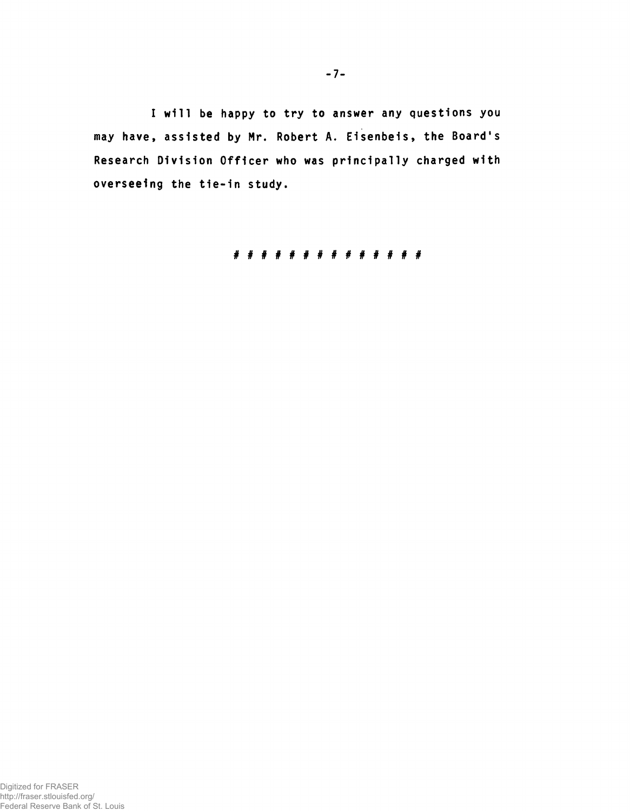I will be happy to try to answer any questions you may have, assisted by Mr. Robert A. Eisenbeis, the Board's Research Division Officer who was principally charged with overseeing the tie-in study.

##############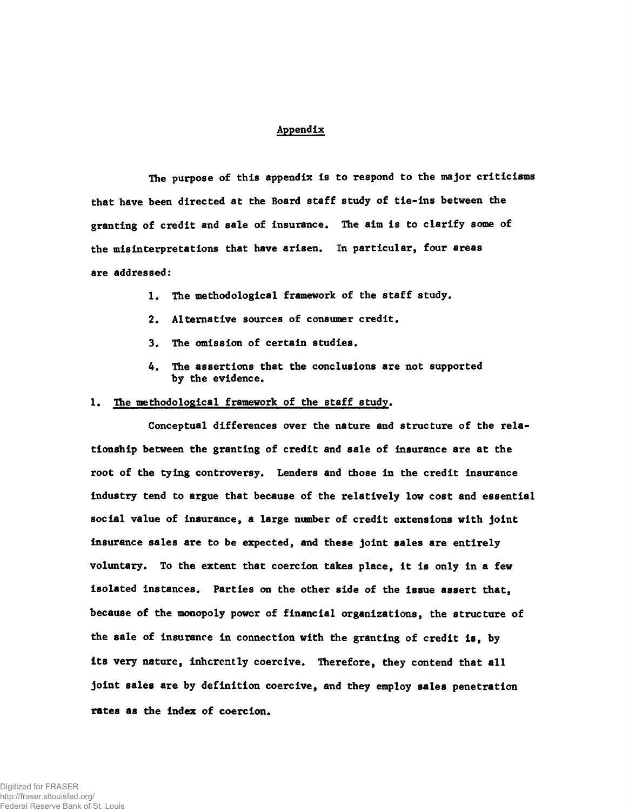#### Appendix

The purpose of this appendix is to respond to the major criticisms that have been directed at the Board staff study of tie-ins between the granting of credit and sale of insurance. The aim is to clarify some of the misinterpretations that have arisen. In particular, four areas are addressed:

- 1. The methodological framework of the staff study.
- 2. Alternative sources of consumer credit.
- 3. The omission of certain studies.
- 4. The assertions that the conclusions are not supported by the evidence.

### 1. The methodological framework of the staff study.

Conceptual differences over the nature and structure of the relationship between the granting of credit and sale of insurance are at the root of the tying controversy. Lenders and those in the credit insurance industry tend to argue that because of the relatively low cost and essential social value of insurance, a large number of credit extensions with joint insurance sales are to be expected, and these joint sales are entirely voluntary. To the extent that coercion takes place, it is only in a few isolated instances. Parties on the other side of the issue assert that, because of the monopoly power of financial organizations, the structure of the sale of insurance in connection with the granting of credit is, by its very nature, inherently coercive. Therefore, they contend that all joint sales are by definition coercive, and they employ sales penetration rates as the index of coercion.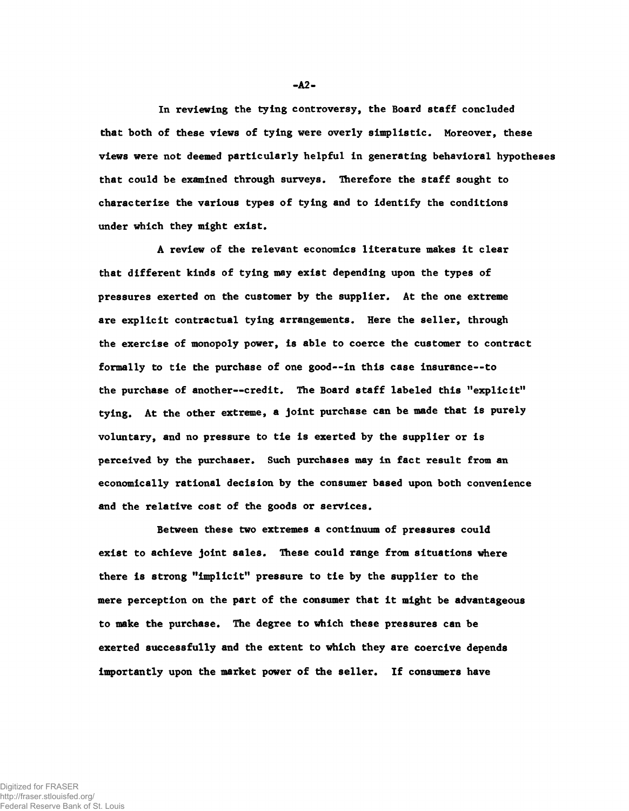In reviewing the tying controversy, the Board staff concluded that both of these views of tying were overly simplistic. Moreover, these views were not deemed particularly helpful in generating behavioral hypotheses that could be examined through surveys. Therefore the staff sought to characterize the various types of tying and to identify the conditions under which they might exist.

A review of the relevant economics literature makes it clear that different kinds of tying may exist depending upon the types of pressures exerted on the customer by the supplier. At the one extreme are explicit contractual tying arrangements. Here the seller, through the exercise of monopoly power, is able to coerce the customer to contract formally to tie the purchase of one good— in this case insurance--to the purchase of another— credit. The Board staff labeled this "explicit" tying. At the other extreme, a joint purchase can be made that is purely voluntary, and no pressure to tie is exerted by the supplier or is perceived by the purchaser. Such purchases may in fact result from an economically rational decision by the consumer based upon both convenience and the relative cost of the goods or services.

Between these two extremes a continuum of pressures could exist to achieve joint sales. These could range from situations where there is strong "implicit" pressure to tie by the supplier to the mere perception on the part of the consumer that it might be advantageous to make the purchase. The degree to which these pressures can be exerted successfully and the extent to which they are coercive depends importantly upon the market power of the seller. If consumers have

-A2-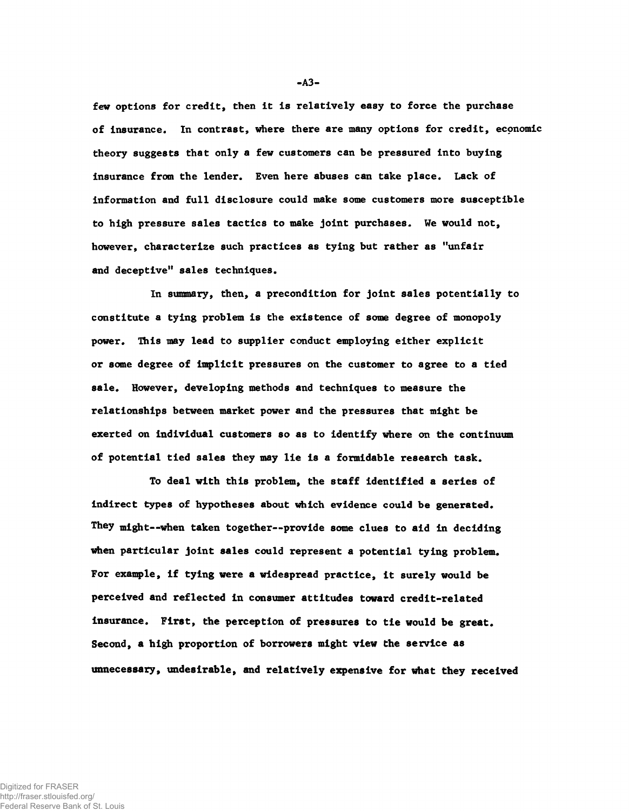few options for credit, then it is relatively easy to force the purchase of insurance. In contrast, where there are many options for credit, economic theory suggests that only a few customers can be pressured into buying insurance from the lender. Even here abuses can take place. Lack of information and full disclosure could make some customers more susceptible to high pressure sales tactics to make joint purchases. We would not, however, characterize such practices as tying but rather as "unfair and deceptive" sales techniques.

In summary, then, a precondition for joint sales potentially to constitute a tying problem is the existence of some degree of monopoly power. This may lead to supplier conduct employing either explicit or some degree of implicit pressures on the customer to agree to a tied sale. However, developing methods and techniques to measure the relationships between market power and the pressures that might be exerted on individual customers so as to identify where on the continuum of potential tied sales they may lie is a formidable research task.

To deal with this problem, the staff identified a series of indirect types of hypotheses about which evidence could be generated. They might--when taken together--provide some clues to aid in deciding when particular joint sales could represent a potential tying problem. For example, if tying were a widespread practice, it surely would be perceived and reflected in consumer attitudes toward credit-related insurance. First, the perception of pressures to tie would be great. Second, a high proportion of borrowers might view the service as unnecessary, undesirable, and relatively expensive for what they received

 $- A3 -$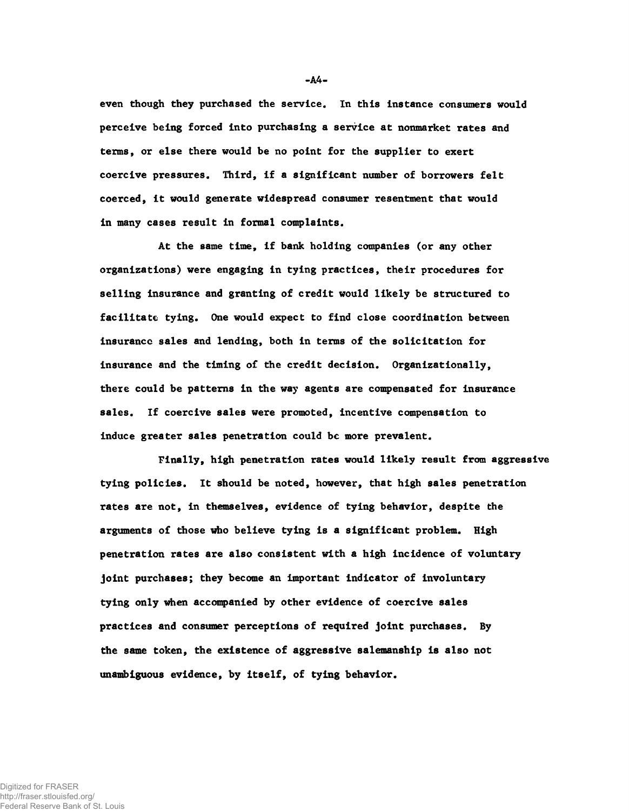even though they purchased the service. In this instance consumers would perceive being forced into purchasing a service at nonmarket rates and terms, or else there would be no point for the supplier to exert coercive pressures. Third, if a significant number of borrowers felt coerced, it would generate widespread consumer resentment that would in many cases result in formal complaints.

At the same time, if bank holding companies (or any other organizations) were engaging in tying practices, their procedures for selling insurance and granting of credit would likely be structured to facilitate tying. One would expect to find close coordination between insurance sales and lending, both in terms of the solicitation for insurance and the timing of the credit decision. Organizationally, there could be patterns in the way agents are compensated for insurance sales. If coercive sales were promoted, incentive compensation to induce greater sales penetration could be more prevalent.

Finally, high penetration rates would likely result from aggressive tying policies. It should be noted, however, that high sales penetration rates are not, in themselves, evidence of tying behavior, despite the arguments of those who believe tying is a significant problem. High penetration rates are also consistent with a high incidence of voluntary joint purchases; they become an important indicator of involuntary tying only when accompanied by other evidence of coercive sales practices and consumer perceptions of required joint purchases. By the same token, the existence of aggressive salemanship is also not unambiguous evidence, by itself, of tying behavior.

-A4-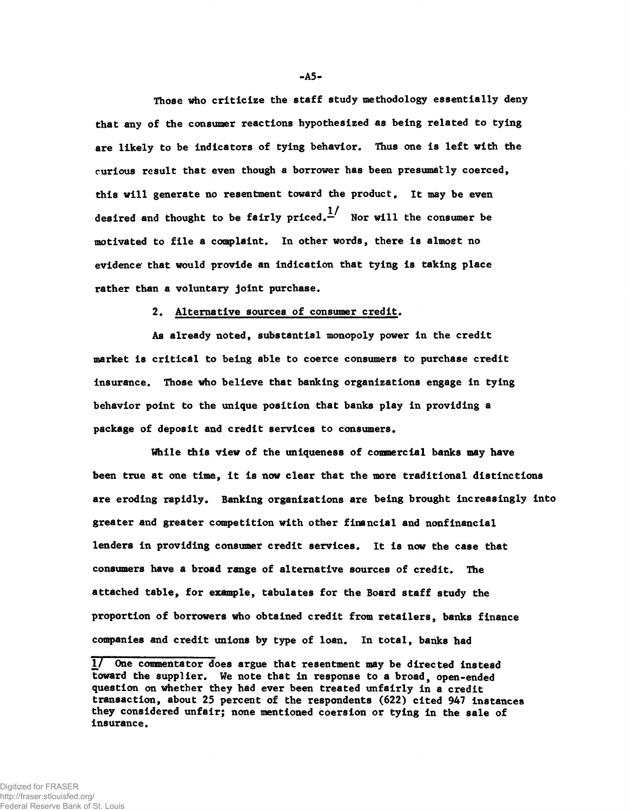Those who criticize the staff study methodology essentially deny that any of the consumer reactions hypothesized as being related to tying are likely to be indicators of tying behavior. Thus one is left with the curious result that even though a borrower has been presumatly coerced. this will generate no resentment toward the product. It may be even desired and thought to be fairly priced. $\frac{1}{n}$  Nor will the consumer be motivated to file a complaint. In other words, there is almost no evidence' that would provide an indication that tying is taking place rather than a voluntary joint purchase.

2. Alternative sources of consumer credit.

As already noted, substantial monopoly power in the credit market is critical to being able to coerce consumers to purchase credit insurance. Those who believe that banking organizations engage in tying behavior point to the unique position that banks play in providing a package of deposit and credit services to consumers.

While this view of the uniqueness of commercial banks may have been true at one time, it is now clear that the more traditional distinctions are eroding rapidly. Banking organizations are being brought increasingly into greater and greater competition with other financial and nonfinancial lenders in providing consumer credit services. It is now the case that consumers have a broad range of alternative sources of credit. The attached table, for example, tabulates for the Board staff study the proportion of borrowers who obtained credit from retailers, banks finance companies and credit unions by type of loan. In total, banks had

-A5-

<sup>1/</sup> One commentator does argue that resentment may be directed instead toward the supplier. We note that in response to a broad, open-ended question on whether they had ever been treated unfairly in a credit transaction, about 25 percent of the respondents (622) cited 947 instances they considered unfair; none mentioned coersion or tying in the sale of insurance.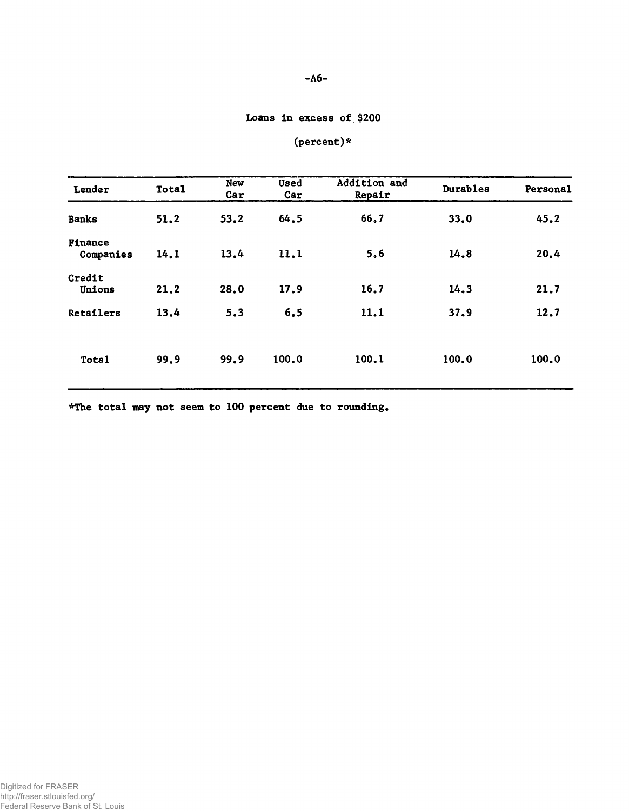# -A6-

# Loans in excess of \$200

| Lender               | <b>Total</b> | <b>New</b><br>Car | <b>Used</b><br>Car | Addition and<br>Repair | Durables | Personal |
|----------------------|--------------|-------------------|--------------------|------------------------|----------|----------|
| <b>Banks</b>         | 51.2         | 53.2              | 64.5               | 66.7                   | 33.0     | 45.2     |
| Finance<br>Companies | 14.1         | 13.4              | 11.1               | 5.6                    | 14.8     | 20.4     |
| Credit<br>Unions     | 21.2         | 28.0              | 17.9               | 16.7                   | 14.3     | 21.7     |
| Retailers            | 13.4         | 5.3               | 6, 5               | 11.1                   | 37.9     | 12.7     |
| Total                | 99.9         | 99.9              | 100.0              | 100.1                  | 100.0    | 100.0    |

\*The total may not seem to 100 percent due to rounding

Digitized for FRASER http://fraser.stlouisfed.org/ Federal Reserve Bank of St. Louis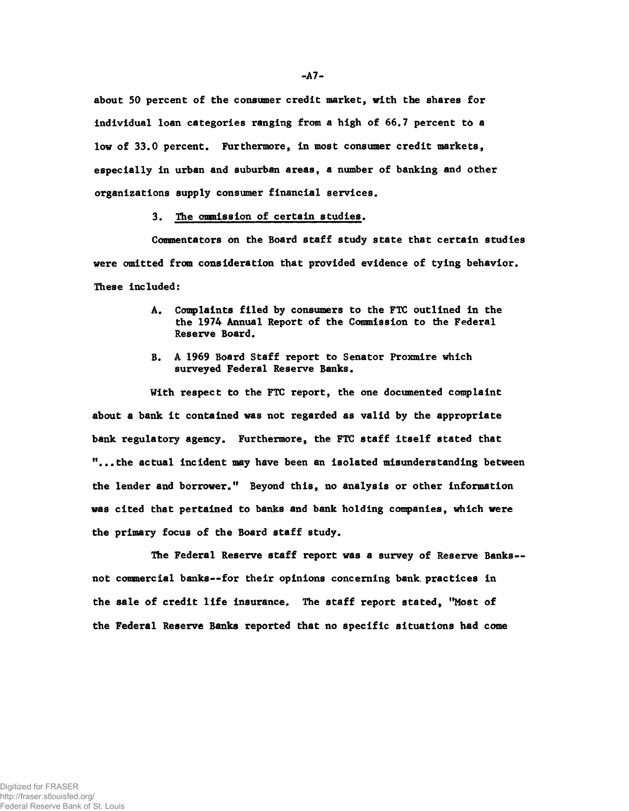about 50 percent of the consumer credit market, with the shares for individual loan categories ranging from a high of 66.7 percent to a low of 33.0 percent. Furthermore, in most consumer credit markets, especially in urban and suburban areas, a number of banking and other organizations supply consumer financial services.

## 3. The ommission of certain studies.

Commentators on the Board staff study state that certain studies were omitted from consideration that provided evidence of tying behavior. These included:

- A. Complaints filed by consumers to the FTC outlined in the the 1974 Annual Report of the Commission to the Federal Reserve Board.
- B. A 1969 Board Staff report to Senator Proxmire which surveyed Federal Reserve Banks.

With respect to the FTC report, the one documented complaint about a bank it contained was not regarded as valid by the appropriate bank regulatory agency. Furthermore, the FTC staff itself stated that "...the actual incident may have been an isolated misunderstanding between the lender and borrower." Beyond this, no analysis or other information was cited that pertained to banks and bank holding companies, which were the primary focus of the Board staff study.

The Federal Reserve staff report was a survey of Reserve Banks not commercial banks— for their opinions concerning bank, practices in the sale of credit life insurance. The staff report stated, "Most of the Federal Reserve Banks reported that no specific situations had come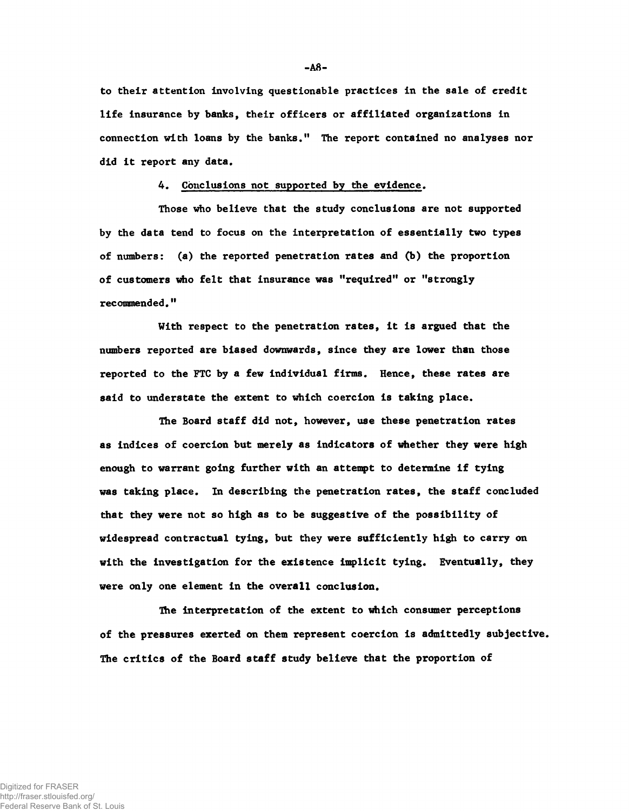to their attention involving questionable practices in the sale of credit life insurance by banks, their officers or affiliated organizations in connection with loans by the banks." The report contained no analyses nor did it report any data.

### 4. Conclusions not supported by the evidence.

Those who believe that the study conclusions are not supported by the data tend to focus on the interpretation of essentially two types of numbers: (a) the reported penetration rates and (b) the proportion of customers who felt that insurance was "required" or "strongly recommended."

With respect to the penetration rates, it is argued that the numbers reported are biased downwards, since they are lower than those reported to the FTC by a few individual firms. Hence, these rates are said to understate the extent to which coercion is taking place.

The Board staff did not, however, use these penetration rates as indices of coercion but merely as indicators of whether they were high enough to warrant going further with an attempt to determine if tying was taking place. In describing the penetration rates, the staff concluded that they were not so high as to be suggestive of the possibility of widespread contractual tying, but they were sufficiently high to carry on with the investigation for the existence implicit tying. Eventually, they were only one element in the overall conclusion.

The interpretation of the extent to which consumer perceptions of the pressures exerted on them represent coercion is admittedly subjective. The critics of the Board staff study believe that the proportion of

-A8-